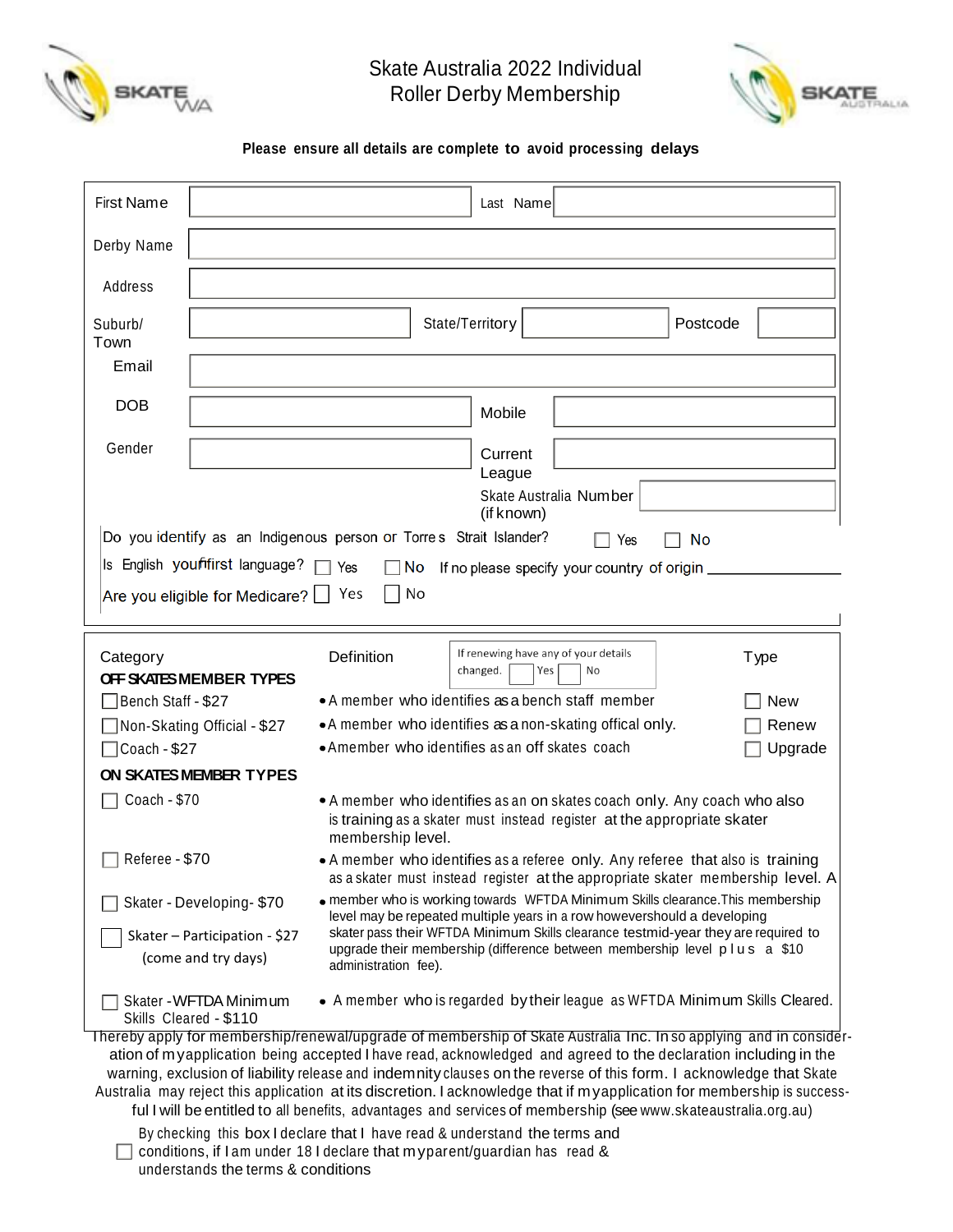

Skate Australia 2022 Individual Roller Derby Membership



## **Please ensure all details are complete to avoid processing delays**

| <b>First Name</b>  |                                                      |                      | Last Name                                                                                                                                                                                                                                   |            |
|--------------------|------------------------------------------------------|----------------------|---------------------------------------------------------------------------------------------------------------------------------------------------------------------------------------------------------------------------------------------|------------|
| Derby Name         |                                                      |                      |                                                                                                                                                                                                                                             |            |
| Address            |                                                      |                      |                                                                                                                                                                                                                                             |            |
| Suburb/<br>Town    |                                                      |                      | State/Territory                                                                                                                                                                                                                             | Postcode   |
| Email              |                                                      |                      |                                                                                                                                                                                                                                             |            |
| <b>DOB</b>         |                                                      |                      | Mobile                                                                                                                                                                                                                                      |            |
| Gender             |                                                      |                      | Current<br>League                                                                                                                                                                                                                           |            |
|                    |                                                      |                      | Skate Australia Number<br>(if known)                                                                                                                                                                                                        |            |
|                    |                                                      |                      | Do you identify as an Indigenous person or Torres Strait Islander?<br>Yes                                                                                                                                                                   | No         |
|                    | Is English yourfifirst language? $\Box$              | Yes                  | No<br>If no please specify your country of origin                                                                                                                                                                                           |            |
|                    | Are you eligible for Medicare? $\Box$                | Yes                  | No                                                                                                                                                                                                                                          |            |
|                    |                                                      |                      |                                                                                                                                                                                                                                             |            |
| Category           |                                                      | Definition           | If renewing have any of your details<br>changed.<br>Yes<br>No                                                                                                                                                                               | Type       |
| Bench Staff - \$27 | OFF SKATES MEMBER TYPES                              |                      | • A member who identifies as a bench staff member                                                                                                                                                                                           | <b>New</b> |
|                    | ■Non-Skating Official - \$27                         |                      | • A member who identifies as a non-skating offical only.                                                                                                                                                                                    | Renew      |
| Coach - \$27       |                                                      |                      | • Amember who identifies as an off skates coach                                                                                                                                                                                             | Upgrade    |
|                    | ON SKATES MEMBER TYPES                               |                      |                                                                                                                                                                                                                                             |            |
| Coach - \$70       |                                                      | membership level.    | • A member who identifies as an on skates coach only. Any coach who also<br>is training as a skater must instead register at the appropriate skater                                                                                         |            |
| Referee - \$70     |                                                      |                      | • A member who identifies as a referee only. Any referee that also is training<br>as a skater must instead register at the appropriate skater membership level. A                                                                           |            |
|                    | Skater - Developing- \$70                            |                      | • member who is working towards WFTDA Minimum Skills clearance. This membership                                                                                                                                                             |            |
|                    | Skater - Participation - \$27<br>(come and try days) | administration fee). | level may be repeated multiple years in a row howevershould a developing<br>skater pass their WFTDA Minimum Skills clearance testmid-year they are required to<br>upgrade their membership (difference between membership level plus a \$10 |            |
|                    | Skater - WFTDA Minimum<br>Skills Cleared - \$110     |                      | • A member who is regarded by their league as WFTDA Minimum Skills Cleared.<br>Thereby apply for membership/renewal/upgrade of membership of Skate Australia Inc. In so applying and in consider-                                           |            |

Australia may reject this application at its discretion. I acknowledge that if myapplication for membership is successful I will be entitled to all benefits, advantages and services of membership (see www.skateaustralia.org.au)

By checking this box I declare that I have read & understand the terms and  $\Box$  conditions, if I am under 18 I declare that myparent/guardian has read & understands the terms & conditions